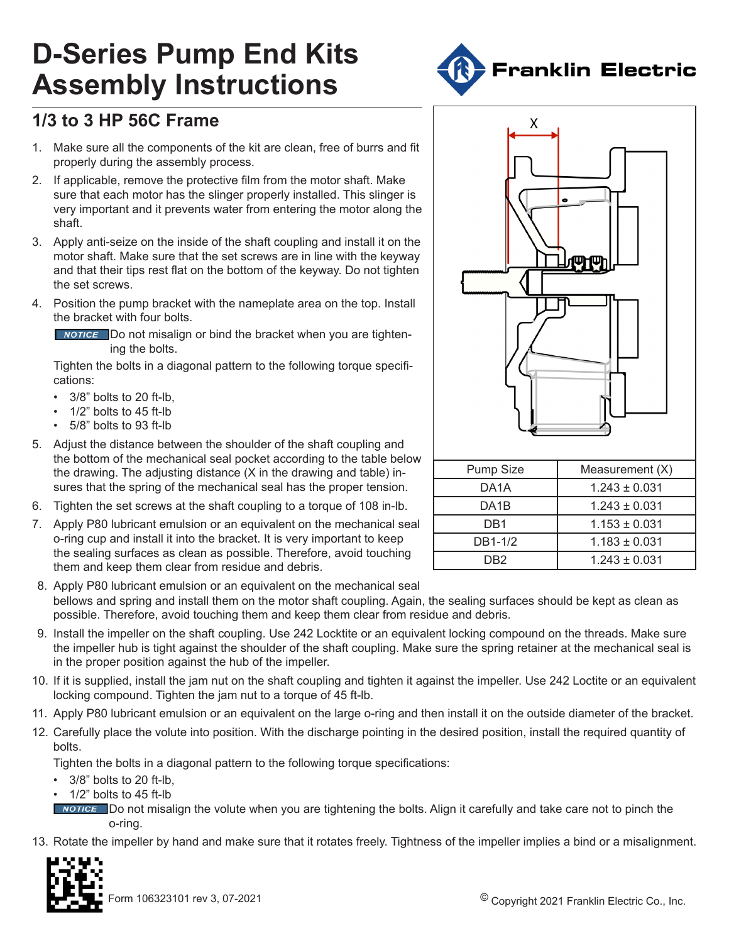## **D-Series Pump End Kits Assembly Instructions**



## **1/3 to 3 HP 56C Frame**

- 1. Make sure all the components of the kit are clean, free of burrs and fit properly during the assembly process.
- 2. If applicable, remove the protective film from the motor shaft. Make sure that each motor has the slinger properly installed. This slinger is very important and it prevents water from entering the motor along the shaft.
- 3. Apply anti-seize on the inside of the shaft coupling and install it on the motor shaft. Make sure that the set screws are in line with the keyway and that their tips rest flat on the bottom of the keyway. Do not tighten the set screws.
- 4. Position the pump bracket with the nameplate area on the top. Install the bracket with four bolts.

**NOTICE** Do not misalign or bind the bracket when you are tightening the bolts.

Tighten the bolts in a diagonal pattern to the following torque specifications:

- 3/8" bolts to 20 ft-lb,
- 1/2" bolts to 45 ft-lb
- 5/8" bolts to 93 ft-lb
- 5. Adjust the distance between the shoulder of the shaft coupling and the bottom of the mechanical seal pocket according to the table below the drawing. The adjusting distance (X in the drawing and table) insures that the spring of the mechanical seal has the proper tension.
- 6. Tighten the set screws at the shaft coupling to a torque of 108 in-lb.
- 7. Apply P80 lubricant emulsion or an equivalent on the mechanical seal o-ring cup and install it into the bracket. It is very important to keep the sealing surfaces as clean as possible. Therefore, avoid touching them and keep them clear from residue and debris.



| <b>Pump Size</b> | Measurement (X)   |
|------------------|-------------------|
| DA1A             | $1.243 \pm 0.031$ |
| DA1B             | $1.243 \pm 0.031$ |
| DB1              | $1.153 \pm 0.031$ |
| DB1-1/2          | $1.183 \pm 0.031$ |
| DR2.             | $1.243 \pm 0.031$ |

8. Apply P80 lubricant emulsion or an equivalent on the mechanical seal bellows and spring and install them on the motor shaft coupling. Again, the sealing surfaces should be kept as clean as possible. Therefore, avoid touching them and keep them clear from residue and debris.

- 9. Install the impeller on the shaft coupling. Use 242 Locktite or an equivalent locking compound on the threads. Make sure the impeller hub is tight against the shoulder of the shaft coupling. Make sure the spring retainer at the mechanical seal is in the proper position against the hub of the impeller.
- 10. If it is supplied, install the jam nut on the shaft coupling and tighten it against the impeller. Use 242 Loctite or an equivalent locking compound. Tighten the jam nut to a torque of 45 ft-lb.
- 11. Apply P80 lubricant emulsion or an equivalent on the large o-ring and then install it on the outside diameter of the bracket.
- 12. Carefully place the volute into position. With the discharge pointing in the desired position, install the required quantity of bolts.

Tighten the bolts in a diagonal pattern to the following torque specifications:

- 3/8" bolts to 20 ft-lb,
- 1/2" bolts to 45 ft-lb

**NOTICE** Do not misalign the volute when you are tightening the bolts. Align it carefully and take care not to pinch the o-ring.

13. Rotate the impeller by hand and make sure that it rotates freely. Tightness of the impeller implies a bind or a misalignment.

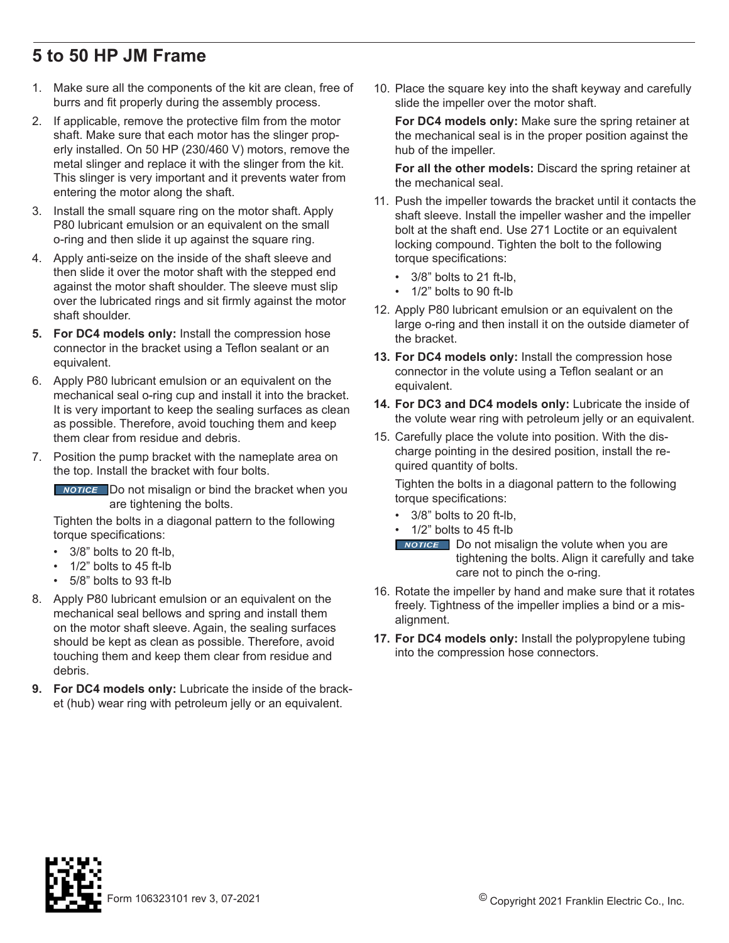## **5 to 50 HP JM Frame**

- 1. Make sure all the components of the kit are clean, free of burrs and fit properly during the assembly process.
- 2. If applicable, remove the protective film from the motor shaft. Make sure that each motor has the slinger properly installed. On 50 HP (230/460 V) motors, remove the metal slinger and replace it with the slinger from the kit. This slinger is very important and it prevents water from entering the motor along the shaft.
- 3. Install the small square ring on the motor shaft. Apply P80 lubricant emulsion or an equivalent on the small o-ring and then slide it up against the square ring.
- 4. Apply anti-seize on the inside of the shaft sleeve and then slide it over the motor shaft with the stepped end against the motor shaft shoulder. The sleeve must slip over the lubricated rings and sit firmly against the motor shaft shoulder.
- **5. For DC4 models only:** Install the compression hose connector in the bracket using a Teflon sealant or an equivalent.
- 6. Apply P80 lubricant emulsion or an equivalent on the mechanical seal o-ring cup and install it into the bracket. It is very important to keep the sealing surfaces as clean as possible. Therefore, avoid touching them and keep them clear from residue and debris.
- 7. Position the pump bracket with the nameplate area on the top. Install the bracket with four bolts.

**NOTICE** Do not misalign or bind the bracket when you are tightening the bolts.

Tighten the bolts in a diagonal pattern to the following torque specifications:

- 3/8" bolts to 20 ft-lb,
- 1/2" bolts to 45 ft-lb
- 5/8" bolts to 93 ft-lb
- 8. Apply P80 lubricant emulsion or an equivalent on the mechanical seal bellows and spring and install them on the motor shaft sleeve. Again, the sealing surfaces should be kept as clean as possible. Therefore, avoid touching them and keep them clear from residue and debris.
- **9. For DC4 models only:** Lubricate the inside of the bracket (hub) wear ring with petroleum jelly or an equivalent.

10. Place the square key into the shaft keyway and carefully slide the impeller over the motor shaft.

**For DC4 models only:** Make sure the spring retainer at the mechanical seal is in the proper position against the hub of the impeller.

**For all the other models:** Discard the spring retainer at the mechanical seal.

- 11. Push the impeller towards the bracket until it contacts the shaft sleeve. Install the impeller washer and the impeller bolt at the shaft end. Use 271 Loctite or an equivalent locking compound. Tighten the bolt to the following torque specifications:
	- 3/8" bolts to 21 ft-lb,
	- 1/2" bolts to 90 ft-lb
- 12. Apply P80 lubricant emulsion or an equivalent on the large o-ring and then install it on the outside diameter of the bracket.
- **13. For DC4 models only:** Install the compression hose connector in the volute using a Teflon sealant or an equivalent.
- **14. For DC3 and DC4 models only:** Lubricate the inside of the volute wear ring with petroleum jelly or an equivalent.
- 15. Carefully place the volute into position. With the discharge pointing in the desired position, install the required quantity of bolts.

Tighten the bolts in a diagonal pattern to the following torque specifications:

- 3/8" bolts to 20 ft-lb.
- 1/2" bolts to 45 ft-lb
- **NOTICE** Do not misalign the volute when you are tightening the bolts. Align it carefully and take care not to pinch the o-ring.
- 16. Rotate the impeller by hand and make sure that it rotates freely. Tightness of the impeller implies a bind or a misalignment.
- **17. For DC4 models only:** Install the polypropylene tubing into the compression hose connectors.

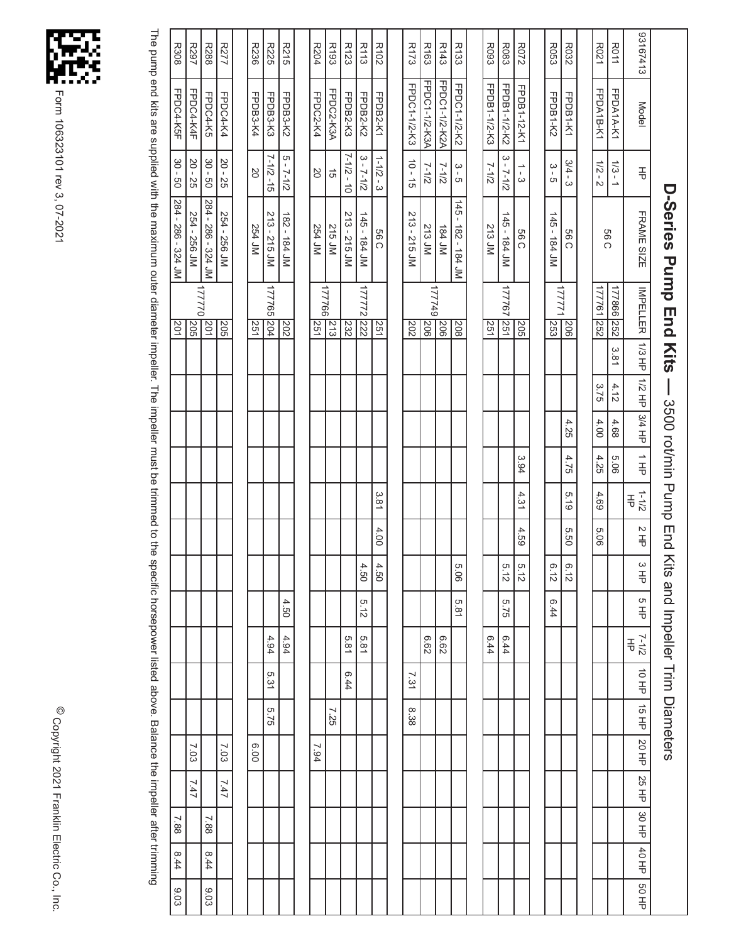© Copyright 2021 Franklin Electric Co., Inc. © Copyright 2021 Franklin Electric Co., Inc.



The pump end kits are supplied with the maximum outer diameter impeller. The impeller must be trimmed to the specific horsepower listed above. Balance the impeller after trimming The pump end kits are supplied with the maximum outer diameter impeller. The impeller must be trimmed to the specific horsepower listed above. Balance the impeller after trimming

| R308               | <b>R297</b>  | R288               | <b>R277</b>  | R236     | R225           | R215          | <b>R204</b> | R193      | R123                  | R113          | R102          | R173         | R163          | R143          | R133                         | <b>R093</b>  | R083                                | <b>R072</b>           | <b>R053</b>  | R032                | R021            | <b>R011</b>  | 83167413                      |                                                           |
|--------------------|--------------|--------------------|--------------|----------|----------------|---------------|-------------|-----------|-----------------------|---------------|---------------|--------------|---------------|---------------|------------------------------|--------------|-------------------------------------|-----------------------|--------------|---------------------|-----------------|--------------|-------------------------------|-----------------------------------------------------------|
| FPDC4-K5F          | FPDC4-K4F    | FPDC4-K5           | FPDC4-K4     | FPDB3-K4 | FPDB3-K3       | FPDB3-K2      | FPDC2-K4    | FPDC2-K3A | FPDB2-K3              | FPDB2-K2      | FPDB2-K1      | FPDC1-1/2-K3 | FPDC1-1/2-K3A | FPDC1-1/2-K2A | FPDC1-1/2-K2                 | FPDB1-1/2-K3 | FPDB1-1/2-K2                        | FPDB1-12-K1           | FPDB1-K2     | FPDB1-K1            | FPDA1B-K1       | FPDA1A-K1    | Model                         |                                                           |
| $-08$<br>90        | 20 - 25      | $30 - 50$          | 20 - 25      | $\infty$ | $7 - 1/2 - 15$ | $5 - 7 - 1/2$ | 2Q          | $\vec{q}$ | $7 - 1/2 - 10$        | $3 - 7 - 1/2$ | $1 - 1/2 - 3$ | $10 - 15$    | $211-2$       | $211 - 2$     | 3<br>5                       | $211-2$      | $\omega$<br>$\mathbf{I}$<br>$2/1-2$ | $\vec{r}$<br>$\omega$ | ပ<br>'<br>Cη | $3/4 -$<br>$\omega$ | $-77$<br>$\sim$ | $1/3 - 1$    | 玉                             |                                                           |
| 284 - 286 - 324 JM | 254 - 256 JM | 284 - 286 - 324 JM | 254 - 256 JM | 254 JM   | 213 - 215 JM   | NL 182 - 184  | 254 JM      | 215 JM    | 213 - 215 JM          | NL 5-184 JM   | <b>56 C</b>   | 213 - 215 JM | 213 JM        | <b>ML 481</b> | 145<br>×.<br>NL 182 - 184 JM | 213 JM       | 45 - 184 JM                         | 99<br>$\circ$         | 145 - 184 JM | 99<br>$\circ$       | 99<br>$\circ$   |              | FRAME SIZE                    | D-Series Purn hru Kits                                    |
|                    | 177770       |                    |              |          | 177765 204     |               | 177766      |           |                       | 177772 222    |               |              | 177749        |               |                              |              | 177767                              |                       | 17771        |                     | 177761 252      | 177866 252   | <b>IMPELLER</b>               |                                                           |
| 201                | 205          | $\overline{501}$   | 505          | 251      |                | 202           | 1251        | 213       | 232                   |               | 251           | 202          | 206           | 902           | 208                          | 251          | 251                                 | 205                   | 253          | $\sqrt{206}$        |                 |              | <br>공<br>무                    |                                                           |
|                    |              |                    |              |          |                |               |             |           |                       |               |               |              |               |               |                              |              |                                     |                       |              |                     |                 | 3.81<br>4.12 | <b>4H Z/L</b>                 |                                                           |
|                    |              |                    |              |          |                |               |             |           |                       |               |               |              |               |               |                              |              |                                     |                       |              | 4.25                | 3.75<br>4.00    | 4.68         | 3/4 HP                        |                                                           |
|                    |              |                    |              |          |                |               |             |           |                       |               |               |              |               |               |                              |              |                                     | 3.94                  |              | 4.75                | 4.25            | 90'S         | $\frac{1}{1}$                 |                                                           |
|                    |              |                    |              |          |                |               |             |           |                       |               | 3.81          |              |               |               |                              |              |                                     | 4.31                  |              | 5.19                | 4.69            |              | $\frac{1}{2}$ = $\frac{1}{2}$ |                                                           |
|                    |              |                    |              |          |                |               |             |           |                       |               | 4.00          |              |               |               |                              |              |                                     | 4.59                  |              | c                   | 90.9            |              | 2 HP                          |                                                           |
|                    |              |                    |              |          |                |               |             |           |                       | 4.50          | 4.50          |              |               |               | 5.06                         |              | <b>S.12</b>                         | 5.12                  | 6.12         | ġ<br><b>6.12</b>    |                 |              | 3 HP                          |                                                           |
|                    |              |                    |              |          |                | 4.50          |             |           |                       | 5.12          |               |              |               |               | С'n                          |              | 575                                 |                       | 6.44         |                     |                 |              | 어<br>국                        |                                                           |
|                    |              |                    |              |          | 4.94           | 4.94          |             |           | c                     | 5.81          |               |              | 79'9          | 79'9          | $\frac{1}{8}$                | 6.44         | 6.44                                |                       |              |                     |                 |              | $7 - 1/2$<br>玉                |                                                           |
|                    |              |                    |              |          | 5.31           |               |             |           | $\frac{5}{2}$<br>6.44 |               |               | 7.31         |               |               |                              |              |                                     |                       |              |                     |                 |              | 금<br>국                        |                                                           |
|                    |              |                    |              |          | 5.75           |               |             | 7.25      |                       |               |               | 8.38         |               |               |                              |              |                                     |                       |              |                     |                 |              | <b>금도</b>                     |                                                           |
|                    | 7.03         |                    | 7.03         | 00.9     |                |               | 7.94        |           |                       |               |               |              |               |               |                              |              |                                     |                       |              |                     |                 |              | 120 HP                        | - 3500 rot/min Purnp mnd Kits and Impeller Hrim Diameters |
|                    | 147.7        |                    | 7.47         |          |                |               |             |           |                       |               |               |              |               |               |                              |              |                                     |                       |              |                     |                 |              | 25 HP                         |                                                           |
| 7.88               |              | 7.88               |              |          |                |               |             |           |                       |               |               |              |               |               |                              |              |                                     |                       |              |                     |                 |              | 30 HP                         |                                                           |
| 8.44               |              | 8.44               |              |          |                |               |             |           |                       |               |               |              |               |               |                              |              |                                     |                       |              |                     |                 |              | 40 Hb                         |                                                           |
| 8.03               |              | 8.03               |              |          |                |               |             |           |                       |               |               |              |               |               |                              |              |                                     |                       |              |                     |                 |              | SO <sub>HP</sub>              |                                                           |